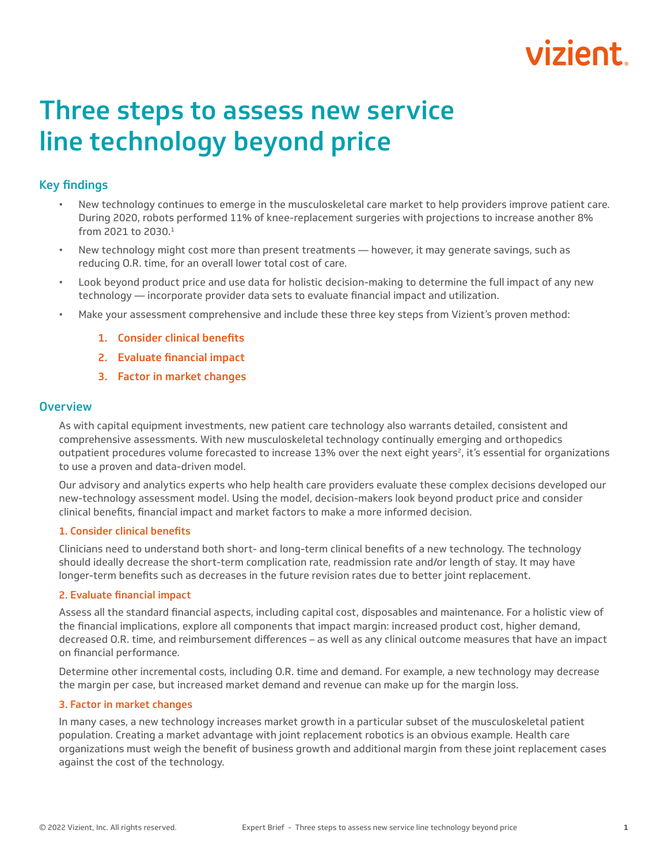# vizient

## Three steps to assess new service line technology beyond price

### Key findings

- New technology continues to emerge in the musculoskeletal care market to help providers improve patient care. During 2020, robots performed 11% of knee-replacement surgeries with projections to increase another 8% from 2021 to 2030.1
- New technology might cost more than present treatments however, it may generate savings, such as reducing O.R. time, for an overall lower total cost of care.
- Look beyond product price and use data for holistic decision-making to determine the full impact of any new technology — incorporate provider data sets to evaluate financial impact and utilization.
- Make your assessment comprehensive and include these three key steps from Vizient's proven method:
	- 1. Consider clinical benefits
	- 2. Evaluate financial impact
	- 3. Factor in market changes

#### **Overview**

As with capital equipment investments, new patient care technology also warrants detailed, consistent and comprehensive assessments. With new musculoskeletal technology continually emerging and orthopedics outpatient procedures volume forecasted to increase 13% over the next eight years<sup>2</sup>, it's essential for organizations to use a proven and data-driven model.

Our advisory and analytics experts who help health care providers evaluate these complex decisions developed our new-technology assessment model. Using the model, decision-makers look beyond product price and consider clinical benefits, financial impact and market factors to make a more informed decision.

#### 1. Consider clinical benefits

Clinicians need to understand both short- and long-term clinical benefits of a new technology. The technology should ideally decrease the short-term complication rate, readmission rate and/or length of stay. It may have longer-term benefits such as decreases in the future revision rates due to better joint replacement.

#### 2. Evaluate financial impact

Assess all the standard financial aspects, including capital cost, disposables and maintenance. For a holistic view of the financial implications, explore all components that impact margin: increased product cost, higher demand, decreased O.R. time, and reimbursement differences – as well as any clinical outcome measures that have an impact on financial performance.

Determine other incremental costs, including O.R. time and demand. For example, a new technology may decrease the margin per case, but increased market demand and revenue can make up for the margin loss.

#### 3. Factor in market changes

In many cases, a new technology increases market growth in a particular subset of the musculoskeletal patient population. Creating a market advantage with joint replacement robotics is an obvious example. Health care organizations must weigh the benefit of business growth and additional margin from these joint replacement cases against the cost of the technology.